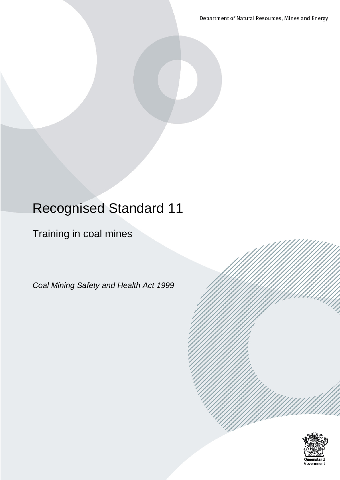Department of Natural Resources, Mines and Energy

# Recognised Standard 11

## Training in coal mines

*Coal Mining Safety and Health Act 1999*

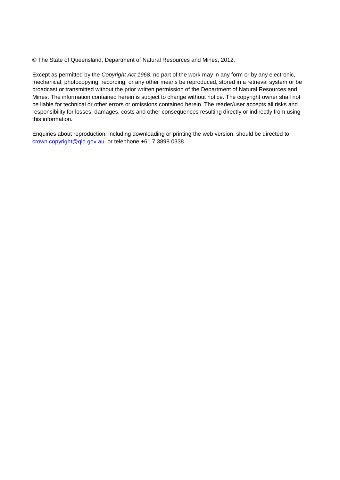© The State of Queensland, Department of Natural Resources and Mines, 2012.

Except as permitted by the *Copyright Act 1968*, no part of the work may in any form or by any electronic, mechanical, photocopying, recording, or any other means be reproduced, stored in a retrieval system or be broadcast or transmitted without the prior written permission of the Department of Natural Resources and Mines. The information contained herein is subject to change without notice. The copyright owner shall not be liable for technical or other errors or omissions contained herein. The reader/user accepts all risks and responsibility for losses, damages, costs and other consequences resulting directly or indirectly from using this information.

Enquiries about reproduction, including downloading or printing the web version, should be directed to [crown.copyright@qld.gov.au.](mailto:crown.copyright@qld.gov.au) or telephone +61 7 3898 0338.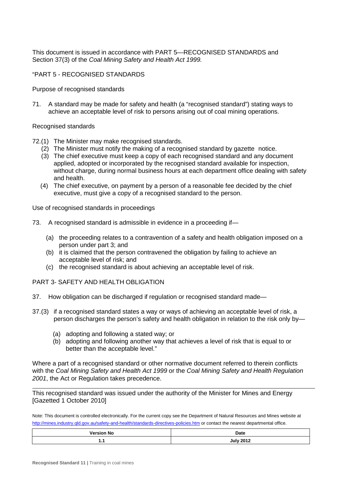This document is issued in accordance with PART 5—RECOGNISED STANDARDS and Section 37(3) of the *Coal Mining Safety and Health Act 1999.*

#### "PART 5 - RECOGNISED STANDARDS

Purpose of recognised standards

71. A standard may be made for safety and health (a "recognised standard") stating ways to achieve an acceptable level of risk to persons arising out of coal mining operations.

#### Recognised standards

- 72.(1) The Minister may make recognised standards.
	- (2) The Minister must notify the making of a recognised standard by gazette notice.
	- (3) The chief executive must keep a copy of each recognised standard and any document applied, adopted or incorporated by the recognised standard available for inspection, without charge, during normal business hours at each department office dealing with safety and health.
	- (4) The chief executive, on payment by a person of a reasonable fee decided by the chief executive, must give a copy of a recognised standard to the person.

Use of recognised standards in proceedings

- 73. A recognised standard is admissible in evidence in a proceeding if—
	- (a) the proceeding relates to a contravention of a safety and health obligation imposed on a person under part 3; and
	- (b) it is claimed that the person contravened the obligation by failing to achieve an acceptable level of risk; and
	- (c) the recognised standard is about achieving an acceptable level of risk.

#### PART 3- SAFETY AND HEALTH OBLIGATION

- 37. How obligation can be discharged if regulation or recognised standard made—
- 37.(3) if a recognised standard states a way or ways of achieving an acceptable level of risk, a person discharges the person's safety and health obligation in relation to the risk only by—
	- (a) adopting and following a stated way; or
	- (b) adopting and following another way that achieves a level of risk that is equal to or better than the acceptable level."

Where a part of a recognised standard or other normative document referred to therein conflicts with the *Coal Mining Safety and Health Act 1999* or the *Coal Mining Safety and Health Regulation 2001*, the Act or Regulation takes precedence.

This recognised standard was issued under the authority of the Minister for Mines and Energy [Gazetted 1 October 2010]

Note: This document is controlled electronically. For the current copy see the Department of Natural Resources and Mines website at <http://mines.industry.qld.gov.au/safety-and-health/standards-directives-policies.htm> or contact the nearest departmental office.

| <b>Version No</b> | Date                                |
|-------------------|-------------------------------------|
|                   | <b>July 2012</b><br>vu.<br>$-0.1 -$ |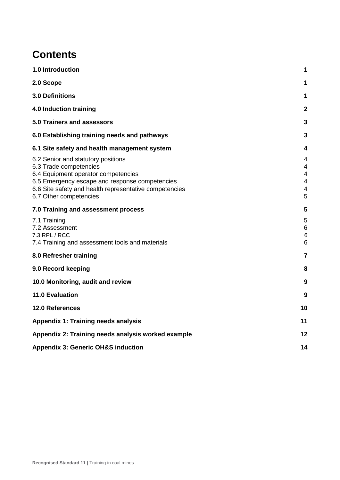### **Contents**

| 1.0 Introduction                                                                                                                                                                                                                          | 1                          |
|-------------------------------------------------------------------------------------------------------------------------------------------------------------------------------------------------------------------------------------------|----------------------------|
| 2.0 Scope                                                                                                                                                                                                                                 | 1                          |
| 3.0 Definitions                                                                                                                                                                                                                           | 1                          |
| <b>4.0 Induction training</b>                                                                                                                                                                                                             | $\mathbf{2}$               |
| 5.0 Trainers and assessors                                                                                                                                                                                                                | 3                          |
| 6.0 Establishing training needs and pathways                                                                                                                                                                                              | 3                          |
| 6.1 Site safety and health management system                                                                                                                                                                                              | 4                          |
| 6.2 Senior and statutory positions<br>6.3 Trade competencies<br>6.4 Equipment operator competencies<br>6.5 Emergency escape and response competencies<br>6.6 Site safety and health representative competencies<br>6.7 Other competencies | 4<br>4<br>4<br>4<br>4<br>5 |
| 7.0 Training and assessment process                                                                                                                                                                                                       | 5                          |
| 7.1 Training<br>7.2 Assessment<br>7.3 RPL / RCC<br>7.4 Training and assessment tools and materials                                                                                                                                        | 5<br>6<br>$\,6$<br>6       |
| 8.0 Refresher training                                                                                                                                                                                                                    | $\overline{7}$             |
| 9.0 Record keeping                                                                                                                                                                                                                        | 8                          |
| 10.0 Monitoring, audit and review                                                                                                                                                                                                         | 9                          |
| <b>11.0 Evaluation</b>                                                                                                                                                                                                                    | 9                          |
| 12.0 References                                                                                                                                                                                                                           | 10                         |
| <b>Appendix 1: Training needs analysis</b>                                                                                                                                                                                                | 11                         |
| Appendix 2: Training needs analysis worked example                                                                                                                                                                                        | 12                         |
| <b>Appendix 3: Generic OH&amp;S induction</b>                                                                                                                                                                                             | 14                         |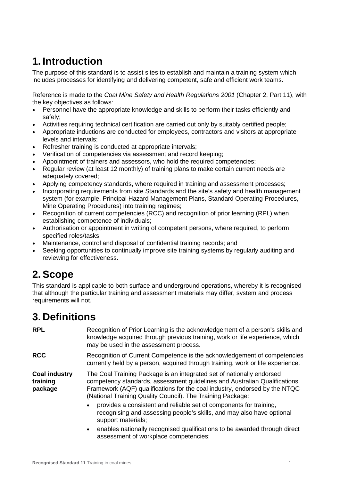## **1. Introduction**

The purpose of this standard is to assist sites to establish and maintain a training system which includes processes for identifying and delivering competent, safe and efficient work teams.

Reference is made to the *Coal Mine Safety and Health Regulations 2001* (Chapter 2, Part 11), with the key objectives as follows:

- Personnel have the appropriate knowledge and skills to perform their tasks efficiently and safely;
- Activities requiring technical certification are carried out only by suitably certified people;
- Appropriate inductions are conducted for employees, contractors and visitors at appropriate levels and intervals;
- Refresher training is conducted at appropriate intervals;
- Verification of competencies via assessment and record keeping;
- Appointment of trainers and assessors, who hold the required competencies;
- Regular review (at least 12 monthly) of training plans to make certain current needs are adequately covered;
- Applying competency standards, where required in training and assessment processes;
- Incorporating requirements from site Standards and the site's safety and health management system (for example, Principal Hazard Management Plans, Standard Operating Procedures, Mine Operating Procedures) into training regimes;
- Recognition of current competencies (RCC) and recognition of prior learning (RPL) when establishing competence of individuals;
- Authorisation or appointment in writing of competent persons, where required, to perform specified roles/tasks;
- Maintenance, control and disposal of confidential training records; and
- Seeking opportunities to continually improve site training systems by regularly auditing and reviewing for effectiveness.

## **2. Scope**

This standard is applicable to both surface and underground operations, whereby it is recognised that although the particular training and assessment materials may differ, system and process requirements will not.

## **3. Definitions**

| <b>RPL</b>                                  | Recognition of Prior Learning is the acknowledgement of a person's skills and<br>knowledge acquired through previous training, work or life experience, which<br>may be used in the assessment process.                                                                                        |
|---------------------------------------------|------------------------------------------------------------------------------------------------------------------------------------------------------------------------------------------------------------------------------------------------------------------------------------------------|
| <b>RCC</b>                                  | Recognition of Current Competence is the acknowledgement of competencies<br>currently held by a person, acquired through training, work or life experience.                                                                                                                                    |
| <b>Coal industry</b><br>training<br>package | The Coal Training Package is an integrated set of nationally endorsed<br>competency standards, assessment quidelines and Australian Qualifications<br>Framework (AQF) qualifications for the coal industry, endorsed by the NTQC<br>(National Training Quality Council). The Training Package: |
|                                             | provides a consistent and reliable set of components for training,<br>$\bullet$<br>recognising and assessing people's skills, and may also have optional<br>support materials;                                                                                                                 |
|                                             | enables nationally recognised qualifications to be awarded through direct<br>$\bullet$<br>assessment of workplace competencies;                                                                                                                                                                |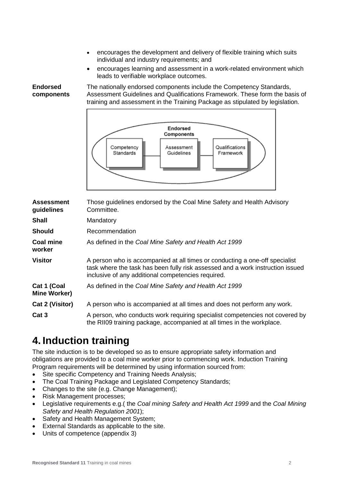- encourages the development and delivery of flexible training which suits individual and industry requirements; and
- encourages learning and assessment in a work-related environment which leads to verifiable workplace outcomes.

**components Endorsed** 

The nationally endorsed components include the Competency Standards, Assessment Guidelines and Qualifications Framework. These form the basis of training and assessment in the Training Package as stipulated by legislation.



| <b>Assessment</b><br>guidelines    | Those guidelines endorsed by the Coal Mine Safety and Health Advisory<br>Committee.                                                                                                                                 |
|------------------------------------|---------------------------------------------------------------------------------------------------------------------------------------------------------------------------------------------------------------------|
| <b>Shall</b>                       | Mandatory                                                                                                                                                                                                           |
| <b>Should</b>                      | Recommendation                                                                                                                                                                                                      |
| Coal mine<br>worker                | As defined in the Coal Mine Safety and Health Act 1999                                                                                                                                                              |
| <b>Visitor</b>                     | A person who is accompanied at all times or conducting a one-off specialist<br>task where the task has been fully risk assessed and a work instruction issued<br>inclusive of any additional competencies required. |
| Cat 1 (Coal<br><b>Mine Worker)</b> | As defined in the Coal Mine Safety and Health Act 1999                                                                                                                                                              |
| Cat 2 (Visitor)                    | A person who is accompanied at all times and does not perform any work.                                                                                                                                             |
| Cat 3                              | A person, who conducts work requiring specialist competencies not covered by<br>the RII09 training package, accompanied at all times in the workplace.                                                              |

## **4. Induction training**

The site induction is to be developed so as to ensure appropriate safety information and obligations are provided to a coal mine worker prior to commencing work. Induction Training Program requirements will be determined by using information sourced from:

- Site specific Competency and Training Needs Analysis;
- The Coal Training Package and Legislated Competency Standards;
- Changes to the site (e.g. Change Management);
- Risk Management processes;
- Legislative requirements e.g.( the *Coal mining Safety and Health Act 1999* and the *Coal Mining Safety and Health Regulation 2001*);
- Safety and Health Management System;
- External Standards as applicable to the site.
- Units of competence (appendix 3)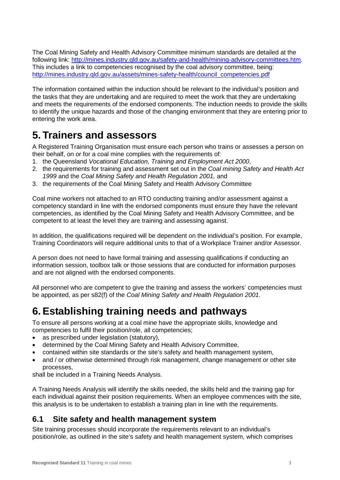The Coal Mining Safety and Health Advisory Committee minimum standards are detailed at the following link: [http://mines.industry.qld.gov.au/safety-and-health/mining-advisory-committees.htm.](http://mines.industry.qld.gov.au/safety-and-health/mining-advisory-committees.htm) This includes a link to competencies recognised by the coal advisory committee, being: [http://mines.industry.qld.gov.au/assets/mines-safety-health/council\\_competencies.pdf](http://mines.industry.qld.gov.au/assets/mines-safety-health/council_competencies.pdf)

The information contained within the induction should be relevant to the individual's position and the tasks that they are undertaking and are required to meet the work that they are undertaking and meets the requirements of the endorsed components. The induction needs to provide the skills to identify the unique hazards and those of the changing environment that they are entering prior to entering the work area.

### **5. Trainers and assessors**

A Registered Training Organisation must ensure each person who trains or assesses a person on their behalf, on or for a coal mine complies with the requirements of:

- 1. the Queensland *Vocational Education, Training and Employment Act 2000*,
- 2. the requirements for training and assessment set out in the *Coal mining Safety and Health Act 1999* and the *Coal Mining Safety and Health Regulation 2001,* and
- 3. the requirements of the Coal Mining Safety and Health Advisory Committee

Coal mine workers not attached to an RTO conducting training and/or assessment against a competency standard in line with the endorsed components must ensure they have the relevant competencies, as identified by the Coal Mining Safety and Health Advisory Committee, and be competent to at least the level they are training and assessing against.

In addition, the qualifications required will be dependent on the individual's position. For example, Training Coordinators will require additional units to that of a Workplace Trainer and/or Assessor.

A person does not need to have formal training and assessing qualifications if conducting an information session, toolbox talk or those sessions that are conducted for information purposes and are not aligned with the endorsed components.

All personnel who are competent to give the training and assess the workers' competencies must be appointed, as per s82(f) of the *Coal Mining Safety and Health Regulation 2001*.

## **6. Establishing training needs and pathways**

To ensure all persons working at a coal mine have the appropriate skills, knowledge and competencies to fulfil their position/role, all competencies;

- as prescribed under legislation (statutory),
- determined by the Coal Mining Safety and Health Advisory Committee,
- contained within site standards or the site's safety and health management system,
- and / or otherwise determined through risk management, change management or other site processes,

shall be included in a Training Needs Analysis.

A Training Needs Analysis will identify the skills needed, the skills held and the training gap for each individual against their position requirements. When an employee commences with the site, this analysis is to be undertaken to establish a training plan in line with the requirements.

### **6.1 Site safety and health management system**

Site training processes should incorporate the requirements relevant to an individual's position/role, as outlined in the site's safety and health management system, which comprises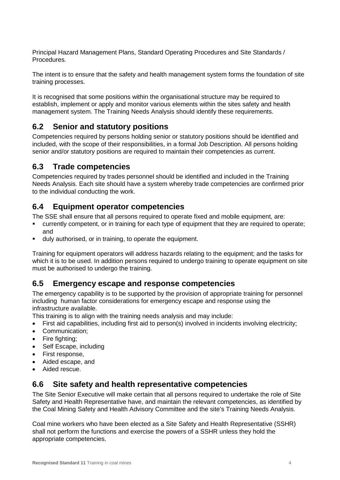Principal Hazard Management Plans, Standard Operating Procedures and Site Standards / Procedures.

The intent is to ensure that the safety and health management system forms the foundation of site training processes.

It is recognised that some positions within the organisational structure may be required to establish, implement or apply and monitor various elements within the sites safety and health management system. The Training Needs Analysis should identify these requirements.

### **6.2 Senior and statutory positions**

Competencies required by persons holding senior or statutory positions should be identified and included, with the scope of their responsibilities, in a formal Job Description. All persons holding senior and/or statutory positions are required to maintain their competencies as current.

### **6.3 Trade competencies**

Competencies required by trades personnel should be identified and included in the Training Needs Analysis. Each site should have a system whereby trade competencies are confirmed prior to the individual conducting the work.

### **6.4 Equipment operator competencies**

The SSE shall ensure that all persons required to operate fixed and mobile equipment, are:

- currently competent, or in training for each type of equipment that they are required to operate; and
- duly authorised, or in training, to operate the equipment.

Training for equipment operators will address hazards relating to the equipment; and the tasks for which it is to be used. In addition persons required to undergo training to operate equipment on site must be authorised to undergo the training.

### **6.5 Emergency escape and response competencies**

The emergency capability is to be supported by the provision of appropriate training for personnel including human factor considerations for emergency escape and response using the infrastructure available.

This training is to align with the training needs analysis and may include:

- First aid capabilities, including first aid to person(s) involved in incidents involving electricity;
- Communication;
- Fire fighting;
- Self Escape, including
- First response,
- Aided escape, and
- Aided rescue.

### **6.6 Site safety and health representative competencies**

The Site Senior Executive will make certain that all persons required to undertake the role of Site Safety and Health Representative have, and maintain the relevant competencies, as identified by the Coal Mining Safety and Health Advisory Committee and the site's Training Needs Analysis.

Coal mine workers who have been elected as a Site Safety and Health Representative (SSHR) shall not perform the functions and exercise the powers of a SSHR unless they hold the appropriate competencies.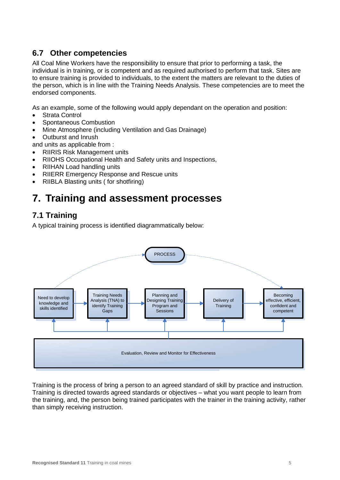### **6.7 Other competencies**

All Coal Mine Workers have the responsibility to ensure that prior to performing a task, the individual is in training, or is competent and as required authorised to perform that task. Sites are to ensure training is provided to individuals, to the extent the matters are relevant to the duties of the person, which is in line with the Training Needs Analysis. These competencies are to meet the endorsed components.

As an example, some of the following would apply dependant on the operation and position:

- **Strata Control**
- Spontaneous Combustion
- Mine Atmosphere (including Ventilation and Gas Drainage)
- Outburst and Inrush

and units as applicable from :

- RIIRIS Risk Management units
- RIIOHS Occupational Health and Safety units and Inspections,
- RIIHAN Load handling units
- RIIERR Emergency Response and Rescue units
- RIIBLA Blasting units ( for shotfiring)

### **7. Training and assessment processes**

### **7.1 Training**

A typical training process is identified diagrammatically below:



Training is the process of bring a person to an agreed standard of skill by practice and instruction. Training is directed towards agreed standards or objectives – what you want people to learn from the training, and, the person being trained participates with the trainer in the training activity, rather than simply receiving instruction.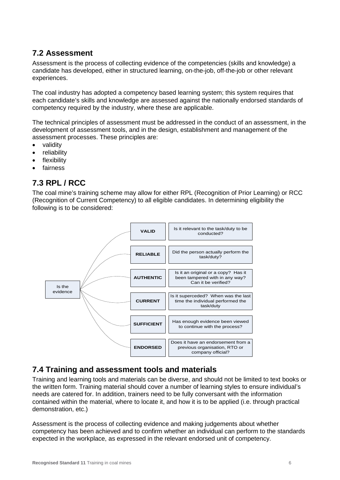### **7.2 Assessment**

Assessment is the process of collecting evidence of the competencies (skills and knowledge) a candidate has developed, either in structured learning, on-the-job, off-the-job or other relevant experiences.

The coal industry has adopted a competency based learning system; this system requires that each candidate's skills and knowledge are assessed against the nationally endorsed standards of competency required by the industry, where these are applicable.

The technical principles of assessment must be addressed in the conduct of an assessment, in the development of assessment tools, and in the design, establishment and management of the assessment processes. These principles are:

- validity
- reliability
- flexibility
- fairness

### **7.3 RPL / RCC**

The coal mine's training scheme may allow for either RPL (Recognition of Prior Learning) or RCC (Recognition of Current Competency) to all eligible candidates. In determining eligibility the following is to be considered:



### **7.4 Training and assessment tools and materials**

Training and learning tools and materials can be diverse, and should not be limited to text books or the written form. Training material should cover a number of learning styles to ensure individual's needs are catered for. In addition, trainers need to be fully conversant with the information contained within the material, where to locate it, and how it is to be applied (i.e. through practical demonstration, etc.)

Assessment is the process of collecting evidence and making judgements about whether competency has been achieved and to confirm whether an individual can perform to the standards expected in the workplace, as expressed in the relevant endorsed unit of competency.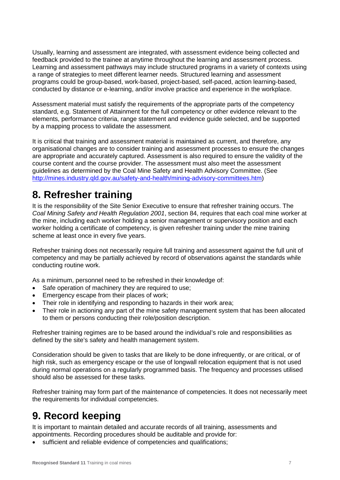Usually, learning and assessment are integrated, with assessment evidence being collected and feedback provided to the trainee at anytime throughout the learning and assessment process. Learning and assessment pathways may include structured programs in a variety of contexts using a range of strategies to meet different learner needs. Structured learning and assessment programs could be group-based, work-based, project-based, self-paced, action learning-based, conducted by distance or e-learning, and/or involve practice and experience in the workplace.

Assessment material must satisfy the requirements of the appropriate parts of the competency standard, e.g. Statement of Attainment for the full competency or other evidence relevant to the elements, performance criteria, range statement and evidence guide selected, and be supported by a mapping process to validate the assessment.

It is critical that training and assessment material is maintained as current, and therefore, any organisational changes are to consider training and assessment processes to ensure the changes are appropriate and accurately captured. Assessment is also required to ensure the validity of the course content and the course provider. The assessment must also meet the assessment guidelines as determined by the Coal Mine Safety and Health Advisory Committee. (See [http://mines.industry.qld.gov.au/safety-and-health/mining-advisory-committees.htm\)](http://mines.industry.qld.gov.au/safety-and-health/mining-advisory-committees.htm)

## **8. Refresher training**

It is the responsibility of the Site Senior Executive to ensure that refresher training occurs. The *Coal Mining Safety and Health Regulation 2001*, section 84, requires that each coal mine worker at the mine, including each worker holding a senior management or supervisory position and each worker holding a certificate of competency, is given refresher training under the mine training scheme at least once in every five years.

Refresher training does not necessarily require full training and assessment against the full unit of competency and may be partially achieved by record of observations against the standards while conducting routine work.

As a minimum, personnel need to be refreshed in their knowledge of:

- Safe operation of machinery they are required to use;
- Emergency escape from their places of work;
- Their role in identifying and responding to hazards in their work area;
- Their role in actioning any part of the mine safety management system that has been allocated to them or persons conducting their role/position description.

Refresher training regimes are to be based around the individual's role and responsibilities as defined by the site's safety and health management system.

Consideration should be given to tasks that are likely to be done infrequently, or are critical, or of high risk, such as emergency escape or the use of longwall relocation equipment that is not used during normal operations on a regularly programmed basis. The frequency and processes utilised should also be assessed for these tasks.

Refresher training may form part of the maintenance of competencies. It does not necessarily meet the requirements for individual competencies.

## **9. Record keeping**

It is important to maintain detailed and accurate records of all training, assessments and appointments. Recording procedures should be auditable and provide for:

sufficient and reliable evidence of competencies and qualifications;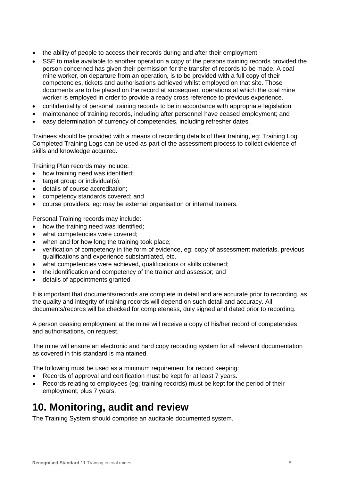- the ability of people to access their records during and after their employment
- SSE to make available to another operation a copy of the persons training records provided the person concerned has given their permission for the transfer of records to be made. A coal mine worker, on departure from an operation, is to be provided with a full copy of their competencies, tickets and authorisations achieved whilst employed on that site. Those documents are to be placed on the record at subsequent operations at which the coal mine worker is employed in order to provide a ready cross reference to previous experience.
- confidentiality of personal training records to be in accordance with appropriate legislation
- maintenance of training records, including after personnel have ceased employment; and
- easy determination of currency of competencies, including refresher dates.

Trainees should be provided with a means of recording details of their training, eg: Training Log. Completed Training Logs can be used as part of the assessment process to collect evidence of skills and knowledge acquired.

Training Plan records may include:

- how training need was identified;
- target group or individual(s);
- details of course accreditation;
- competency standards covered; and
- course providers, eg: may be external organisation or internal trainers.

Personal Training records may include:

- how the training need was identified;
- what competencies were covered;
- when and for how long the training took place;
- verification of competency in the form of evidence, eg: copy of assessment materials, previous qualifications and experience substantiated, etc.
- what competencies were achieved, qualifications or skills obtained;
- the identification and competency of the trainer and assessor; and
- details of appointments granted.

It is important that documents/records are complete in detail and are accurate prior to recording, as the quality and integrity of training records will depend on such detail and accuracy. All documents/records will be checked for completeness, duly signed and dated prior to recording.

A person ceasing employment at the mine will receive a copy of his/her record of competencies and authorisations, on request.

The mine will ensure an electronic and hard copy recording system for all relevant documentation as covered in this standard is maintained.

The following must be used as a minimum requirement for record keeping:

- Records of approval and certification must be kept for at least 7 years.
- Records relating to employees (eg: training records) must be kept for the period of their employment, plus 7 years.

### **10. Monitoring, audit and review**

The Training System should comprise an auditable documented system.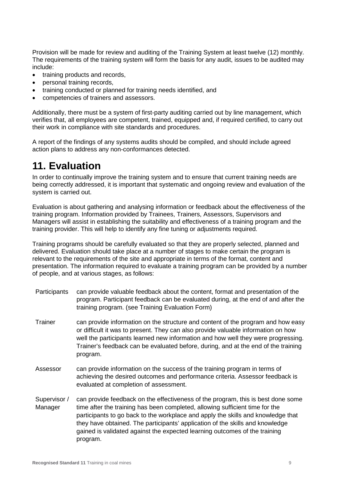Provision will be made for review and auditing of the Training System at least twelve (12) monthly. The requirements of the training system will form the basis for any audit, issues to be audited may include:

- training products and records,
- personal training records,
- training conducted or planned for training needs identified, and
- competencies of trainers and assessors.

Additionally, there must be a system of first-party auditing carried out by line management, which verifies that, all employees are competent, trained, equipped and, if required certified, to carry out their work in compliance with site standards and procedures.

A report of the findings of any systems audits should be compiled, and should include agreed action plans to address any non-conformances detected.

### **11. Evaluation**

In order to continually improve the training system and to ensure that current training needs are being correctly addressed, it is important that systematic and ongoing review and evaluation of the system is carried out.

Evaluation is about gathering and analysing information or feedback about the effectiveness of the training program. Information provided by Trainees, Trainers, Assessors, Supervisors and Managers will assist in establishing the suitability and effectiveness of a training program and the training provider. This will help to identify any fine tuning or adjustments required.

Training programs should be carefully evaluated so that they are properly selected, planned and delivered. Evaluation should take place at a number of stages to make certain the program is relevant to the requirements of the site and appropriate in terms of the format, content and presentation. The information required to evaluate a training program can be provided by a number of people, and at various stages, as follows:

- Participants can provide valuable feedback about the content, format and presentation of the program. Participant feedback can be evaluated during, at the end of and after the training program. (see Training Evaluation Form)
- Trainer can provide information on the structure and content of the program and how easy or difficult it was to present. They can also provide valuable information on how well the participants learned new information and how well they were progressing. Trainer's feedback can be evaluated before, during, and at the end of the training program.
- Assessor can provide information on the success of the training program in terms of achieving the desired outcomes and performance criteria. Assessor feedback is evaluated at completion of assessment.
- Supervisor / Manager can provide feedback on the effectiveness of the program, this is best done some time after the training has been completed, allowing sufficient time for the participants to go back to the workplace and apply the skills and knowledge that they have obtained. The participants' application of the skills and knowledge gained is validated against the expected learning outcomes of the training program.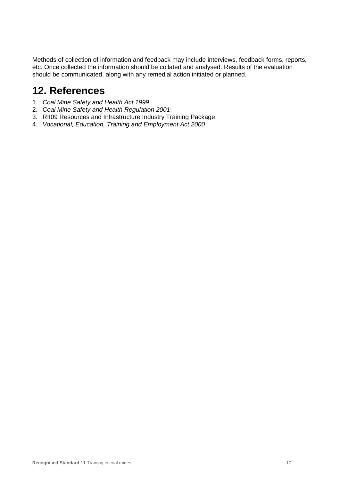Methods of collection of information and feedback may include interviews, feedback forms, reports, etc. Once collected the information should be collated and analysed. Results of the evaluation should be communicated, along with any remedial action initiated or planned.

### **12. References**

- 1. *Coal Mine Safety and Health Act 1999*
- 2. *Coal Mine Safety and Health Regulation 2001*
- 3. RII09 Resources and Infrastructure Industry Training Package
- 4. *Vocational, Education, Training and Employment Act 2000*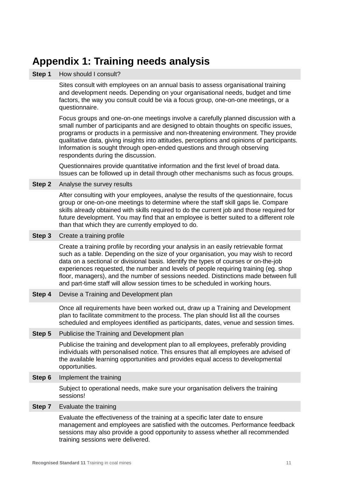### **Appendix 1: Training needs analysis**

#### **Step 1** How should I consult?

Sites consult with employees on an annual basis to assess organisational training and development needs. Depending on your organisational needs, budget and time factors, the way you consult could be via a focus group, one-on-one meetings, or a questionnaire.

Focus groups and one-on-one meetings involve a carefully planned discussion with a small number of participants and are designed to obtain thoughts on specific issues, programs or products in a permissive and non-threatening environment. They provide qualitative data, giving insights into attitudes, perceptions and opinions of participants. Information is sought through open-ended questions and through observing respondents during the discussion.

Questionnaires provide quantitative information and the first level of broad data. Issues can be followed up in detail through other mechanisms such as focus groups.

#### **Step 2** Analyse the survey results

After consulting with your employees, analyse the results of the questionnaire, focus group or one-on-one meetings to determine where the staff skill gaps lie. Compare skills already obtained with skills required to do the current job and those required for future development. You may find that an employee is better suited to a different role than that which they are currently employed to do.

#### **Step 3** Create a training profile

Create a training profile by recording your analysis in an easily retrievable format such as a table. Depending on the size of your organisation, you may wish to record data on a sectional or divisional basis. Identify the types of courses or on-the-job experiences requested, the number and levels of people requiring training (eg. shop floor, managers), and the number of sessions needed. Distinctions made between full and part-time staff will allow session times to be scheduled in working hours.

**Step 4** Devise a Training and Development plan

Once all requirements have been worked out, draw up a Training and Development plan to facilitate commitment to the process. The plan should list all the courses scheduled and employees identified as participants, dates, venue and session times.

#### **Step 5** Publicise the Training and Development plan

Publicise the training and development plan to all employees, preferably providing individuals with personalised notice. This ensures that all employees are advised of the available learning opportunities and provides equal access to developmental opportunities.

#### **Step 6** Implement the training

Subject to operational needs, make sure your organisation delivers the training sessions!

#### **Step 7** Evaluate the training

Evaluate the effectiveness of the training at a specific later date to ensure management and employees are satisfied with the outcomes. Performance feedback sessions may also provide a good opportunity to assess whether all recommended training sessions were delivered.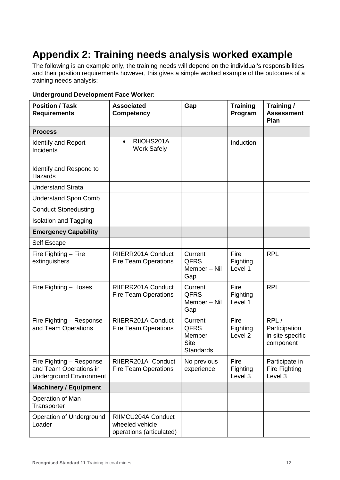## **Appendix 2: Training needs analysis worked example**

The following is an example only, the training needs will depend on the individual's responsibilities and their position requirements however, this gives a simple worked example of the outcomes of a training needs analysis:

#### **Underground Development Face Worker:**

| <b>Position / Task</b><br><b>Requirements</b>                                        | <b>Associated</b><br><b>Competency</b>                            | Gap                                                                     | <b>Training</b><br>Program             | Training /<br><b>Assessment</b><br>Plan                |
|--------------------------------------------------------------------------------------|-------------------------------------------------------------------|-------------------------------------------------------------------------|----------------------------------------|--------------------------------------------------------|
| <b>Process</b>                                                                       |                                                                   |                                                                         |                                        |                                                        |
| <b>Identify and Report</b><br>Incidents                                              | RIIOHS201A<br>$\bullet$<br><b>Work Safely</b>                     |                                                                         | Induction                              |                                                        |
| Identify and Respond to<br><b>Hazards</b>                                            |                                                                   |                                                                         |                                        |                                                        |
| <b>Understand Strata</b>                                                             |                                                                   |                                                                         |                                        |                                                        |
| <b>Understand Spon Comb</b>                                                          |                                                                   |                                                                         |                                        |                                                        |
| <b>Conduct Stonedusting</b>                                                          |                                                                   |                                                                         |                                        |                                                        |
| <b>Isolation and Tagging</b>                                                         |                                                                   |                                                                         |                                        |                                                        |
| <b>Emergency Capability</b>                                                          |                                                                   |                                                                         |                                        |                                                        |
| Self Escape                                                                          |                                                                   |                                                                         |                                        |                                                        |
| Fire Fighting - Fire<br>extinguishers                                                | RIIERR201A Conduct<br><b>Fire Team Operations</b>                 | Current<br><b>QFRS</b><br>Member - Nil<br>Gap                           | Fire<br>Fighting<br>Level 1            | <b>RPL</b>                                             |
| Fire Fighting - Hoses                                                                | RIIERR201A Conduct<br><b>Fire Team Operations</b>                 | Current<br><b>QFRS</b><br>Member - Nil<br>Gap                           | Fire<br>Fighting<br>Level 1            | <b>RPL</b>                                             |
| Fire Fighting - Response<br>and Team Operations                                      | RIIERR201A Conduct<br><b>Fire Team Operations</b>                 | Current<br><b>QFRS</b><br>Member $-$<br><b>Site</b><br><b>Standards</b> | Fire<br>Fighting<br>Level <sub>2</sub> | RPL/<br>Participation<br>in site specific<br>component |
| Fire Fighting - Response<br>and Team Operations in<br><b>Underground Environment</b> | RIIERR201A Conduct<br><b>Fire Team Operations</b>                 | No previous<br>experience                                               | Fire<br>Fighting<br>Level 3            | Participate in<br>Fire Fighting<br>Level 3             |
| <b>Machinery / Equipment</b>                                                         |                                                                   |                                                                         |                                        |                                                        |
| Operation of Man<br>Transporter                                                      |                                                                   |                                                                         |                                        |                                                        |
| Operation of Underground<br>Loader                                                   | RIIMCU204A Conduct<br>wheeled vehicle<br>operations (articulated) |                                                                         |                                        |                                                        |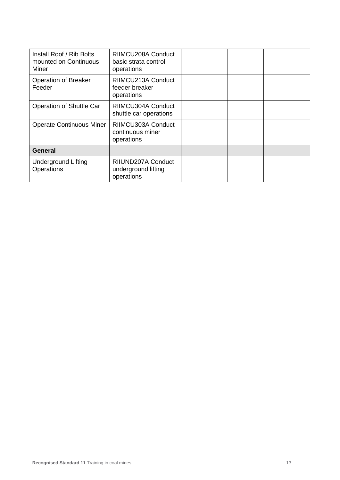| Install Roof / Rib Bolts<br>mounted on Continuous<br>Miner | RIIMCU208A Conduct<br>basic strata control<br>operations |  |  |
|------------------------------------------------------------|----------------------------------------------------------|--|--|
| Operation of Breaker<br>Feeder                             | RIIMCU213A Conduct<br>feeder breaker<br>operations       |  |  |
| Operation of Shuttle Car                                   | RIIMCU304A Conduct<br>shuttle car operations             |  |  |
| <b>Operate Continuous Miner</b>                            | RIIMCU303A Conduct<br>continuous miner<br>operations     |  |  |
| <b>General</b>                                             |                                                          |  |  |
| <b>Underground Lifting</b><br>Operations                   | RIIUND207A Conduct<br>underground lifting<br>operations  |  |  |